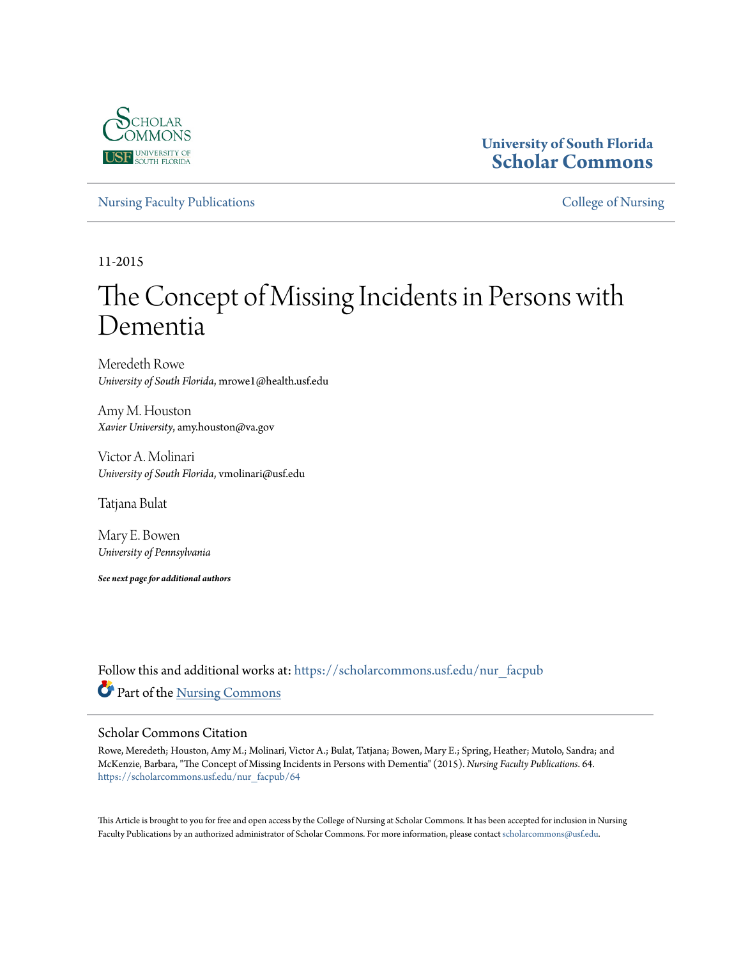

# **University of South Florida [Scholar Commons](https://scholarcommons.usf.edu?utm_source=scholarcommons.usf.edu%2Fnur_facpub%2F64&utm_medium=PDF&utm_campaign=PDFCoverPages)**

[Nursing Faculty Publications](https://scholarcommons.usf.edu/nur_facpub?utm_source=scholarcommons.usf.edu%2Fnur_facpub%2F64&utm_medium=PDF&utm_campaign=PDFCoverPages) **[College of Nursing](https://scholarcommons.usf.edu/nur?utm_source=scholarcommons.usf.edu%2Fnur_facpub%2F64&utm_medium=PDF&utm_campaign=PDFCoverPages)** 

11-2015

# The Concept of Missing Incidents in Persons with Dementia

Meredeth Rowe *University of South Florida*, mrowe1@health.usf.edu

Amy M. Houston *Xavier University*, amy.houston@va.gov

Victor A. Molinari *University of South Florida*, vmolinari@usf.edu

Tatjana Bulat

Mary E. Bowen *University of Pennsylvania*

*See next page for additional authors*

Follow this and additional works at: [https://scholarcommons.usf.edu/nur\\_facpub](https://scholarcommons.usf.edu/nur_facpub?utm_source=scholarcommons.usf.edu%2Fnur_facpub%2F64&utm_medium=PDF&utm_campaign=PDFCoverPages) Part of the [Nursing Commons](http://network.bepress.com/hgg/discipline/718?utm_source=scholarcommons.usf.edu%2Fnur_facpub%2F64&utm_medium=PDF&utm_campaign=PDFCoverPages)

#### Scholar Commons Citation

Rowe, Meredeth; Houston, Amy M.; Molinari, Victor A.; Bulat, Tatjana; Bowen, Mary E.; Spring, Heather; Mutolo, Sandra; and McKenzie, Barbara, "The Concept of Missing Incidents in Persons with Dementia" (2015). *Nursing Faculty Publications*. 64. [https://scholarcommons.usf.edu/nur\\_facpub/64](https://scholarcommons.usf.edu/nur_facpub/64?utm_source=scholarcommons.usf.edu%2Fnur_facpub%2F64&utm_medium=PDF&utm_campaign=PDFCoverPages)

This Article is brought to you for free and open access by the College of Nursing at Scholar Commons. It has been accepted for inclusion in Nursing Faculty Publications by an authorized administrator of Scholar Commons. For more information, please contact [scholarcommons@usf.edu.](mailto:scholarcommons@usf.edu)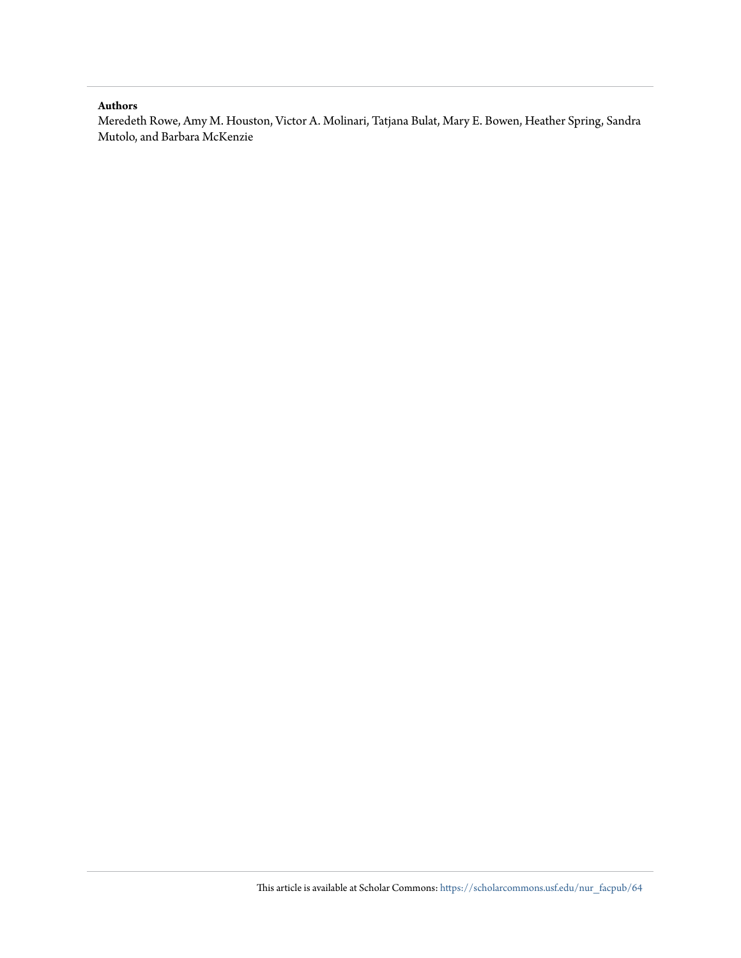#### **Authors**

Meredeth Rowe, Amy M. Houston, Victor A. Molinari, Tatjana Bulat, Mary E. Bowen, Heather Spring, Sandra Mutolo, and Barbara McKenzie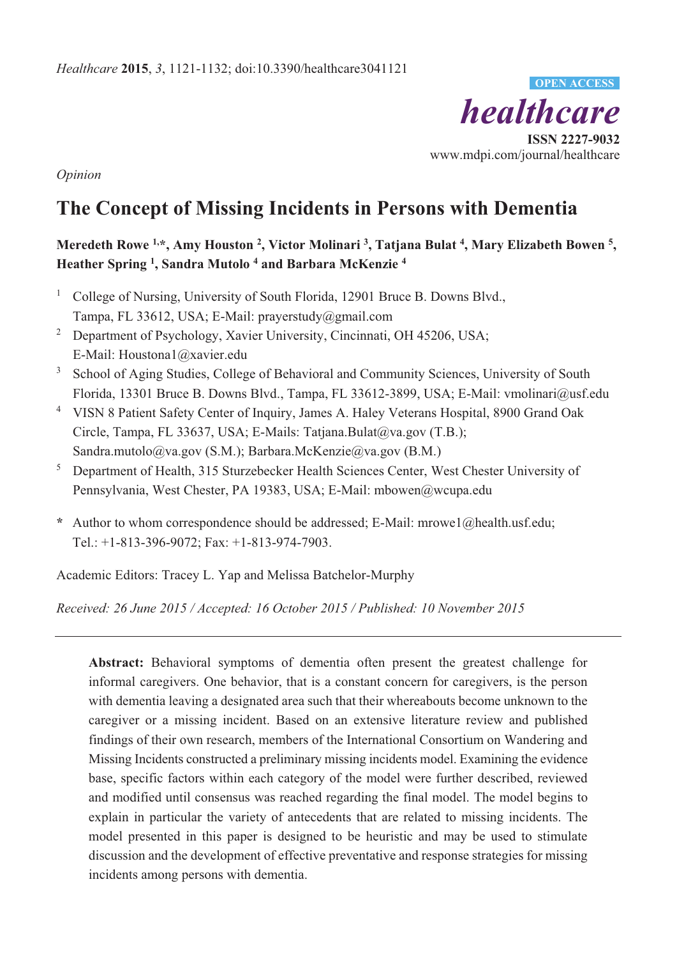

*Opinion* 

# **The Concept of Missing Incidents in Persons with Dementia**

# **Meredeth Rowe 1,\*, Amy Houston 2, Victor Molinari 3, Tatjana Bulat 4, Mary Elizabeth Bowen 5, Heather Spring 1 , Sandra Mutolo 4 and Barbara McKenzie 4**

- 1 College of Nursing, University of South Florida, 12901 Bruce B. Downs Blvd., Tampa, FL 33612, USA; E-Mail: prayerstudy@gmail.com
- <sup>2</sup> Department of Psychology, Xavier University, Cincinnati, OH 45206, USA; E-Mail: Houstona1@xavier.edu
- 3 School of Aging Studies, College of Behavioral and Community Sciences, University of South Florida, 13301 Bruce B. Downs Blvd., Tampa, FL 33612-3899, USA; E-Mail: vmolinari@usf.edu
- <sup>4</sup> VISN 8 Patient Safety Center of Inquiry, James A. Haley Veterans Hospital, 8900 Grand Oak Circle, Tampa, FL 33637, USA; E-Mails: Tatjana.Bulat@va.gov (T.B.); Sandra.mutolo@va.gov (S.M.); Barbara.McKenzie@va.gov (B.M.)
- 5 Department of Health, 315 Sturzebecker Health Sciences Center, West Chester University of Pennsylvania, West Chester, PA 19383, USA; E-Mail: mbowen@wcupa.edu
- **\*** Author to whom correspondence should be addressed; E-Mail: mrowe1@health.usf.edu; Tel.: +1-813-396-9072; Fax: +1-813-974-7903.

Academic Editors: Tracey L. Yap and Melissa Batchelor-Murphy

*Received: 26 June 2015 / Accepted: 16 October 2015 / Published: 10 November 2015* 

**Abstract:** Behavioral symptoms of dementia often present the greatest challenge for informal caregivers. One behavior, that is a constant concern for caregivers, is the person with dementia leaving a designated area such that their whereabouts become unknown to the caregiver or a missing incident. Based on an extensive literature review and published findings of their own research, members of the International Consortium on Wandering and Missing Incidents constructed a preliminary missing incidents model. Examining the evidence base, specific factors within each category of the model were further described, reviewed and modified until consensus was reached regarding the final model. The model begins to explain in particular the variety of antecedents that are related to missing incidents. The model presented in this paper is designed to be heuristic and may be used to stimulate discussion and the development of effective preventative and response strategies for missing incidents among persons with dementia.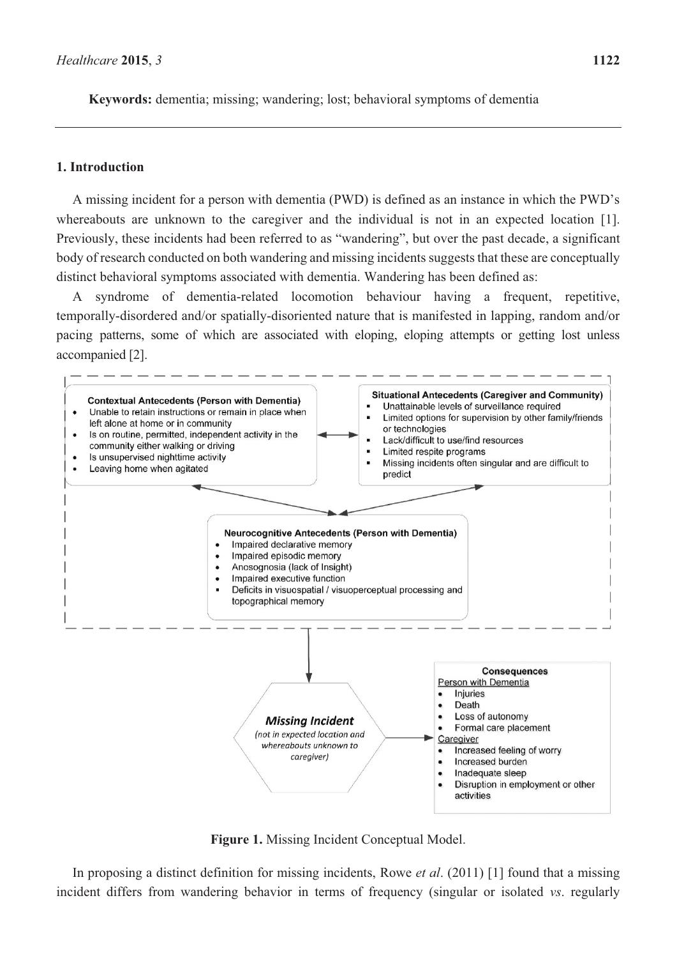**Keywords:** dementia; missing; wandering; lost; behavioral symptoms of dementia

#### **1. Introduction**

A missing incident for a person with dementia (PWD) is defined as an instance in which the PWD's whereabouts are unknown to the caregiver and the individual is not in an expected location [1]. Previously, these incidents had been referred to as "wandering", but over the past decade, a significant body of research conducted on both wandering and missing incidents suggests that these are conceptually distinct behavioral symptoms associated with dementia. Wandering has been defined as:

syndrome of dementia-related locomotion behaviour having a frequent, repetitive, temporally-disordered and/or spatially-disoriented nature that is manifested in lapping, random and/or pacing patterns, some of which are associated with eloping, eloping attempts or getting lost unless accompanied [2].



**Figure 1.** Missing Incident Conceptual Model.

In proposing a distinct definition for missing incidents, Rowe *et al*. (2011) [1] found that a missing incident differs from wandering behavior in terms of frequency (singular or isolated *vs*. regularly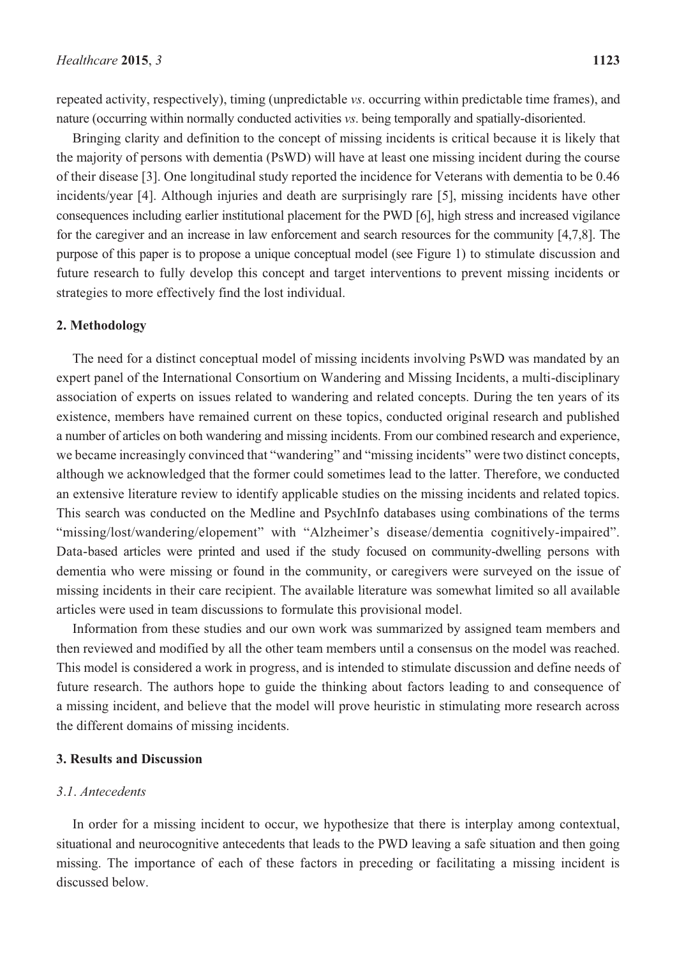repeated activity, respectively), timing (unpredictable *vs*. occurring within predictable time frames), and nature (occurring within normally conducted activities *vs*. being temporally and spatially-disoriented.

Bringing clarity and definition to the concept of missing incidents is critical because it is likely that the majority of persons with dementia (PsWD) will have at least one missing incident during the course of their disease [3]. One longitudinal study reported the incidence for Veterans with dementia to be 0.46 incidents/year [4]. Although injuries and death are surprisingly rare [5], missing incidents have other consequences including earlier institutional placement for the PWD [6], high stress and increased vigilance for the caregiver and an increase in law enforcement and search resources for the community [4,7,8]. The purpose of this paper is to propose a unique conceptual model (see Figure 1) to stimulate discussion and future research to fully develop this concept and target interventions to prevent missing incidents or strategies to more effectively find the lost individual.

#### **2. Methodology**

The need for a distinct conceptual model of missing incidents involving PsWD was mandated by an expert panel of the International Consortium on Wandering and Missing Incidents, a multi-disciplinary association of experts on issues related to wandering and related concepts. During the ten years of its existence, members have remained current on these topics, conducted original research and published a number of articles on both wandering and missing incidents. From our combined research and experience, we became increasingly convinced that "wandering" and "missing incidents" were two distinct concepts, although we acknowledged that the former could sometimes lead to the latter. Therefore, we conducted an extensive literature review to identify applicable studies on the missing incidents and related topics. This search was conducted on the Medline and PsychInfo databases using combinations of the terms "missing/lost/wandering/elopement" with "Alzheimer's disease/dementia cognitively-impaired". Data-based articles were printed and used if the study focused on community-dwelling persons with dementia who were missing or found in the community, or caregivers were surveyed on the issue of missing incidents in their care recipient. The available literature was somewhat limited so all available articles were used in team discussions to formulate this provisional model.

Information from these studies and our own work was summarized by assigned team members and then reviewed and modified by all the other team members until a consensus on the model was reached. This model is considered a work in progress, and is intended to stimulate discussion and define needs of future research. The authors hope to guide the thinking about factors leading to and consequence of a missing incident, and believe that the model will prove heuristic in stimulating more research across the different domains of missing incidents.

#### **3. Results and Discussion**

#### *3*.*1*. *Antecedents*

In order for a missing incident to occur, we hypothesize that there is interplay among contextual, situational and neurocognitive antecedents that leads to the PWD leaving a safe situation and then going missing. The importance of each of these factors in preceding or facilitating a missing incident is discussed below.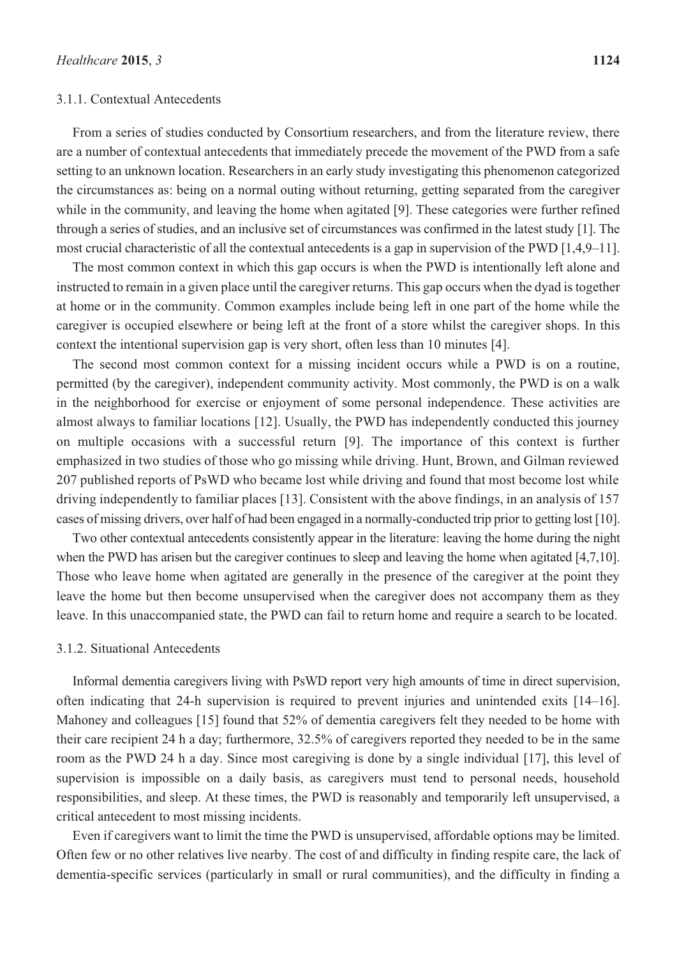#### 3.1.1. Contextual Antecedents

From a series of studies conducted by Consortium researchers, and from the literature review, there are a number of contextual antecedents that immediately precede the movement of the PWD from a safe setting to an unknown location. Researchers in an early study investigating this phenomenon categorized the circumstances as: being on a normal outing without returning, getting separated from the caregiver while in the community, and leaving the home when agitated [9]. These categories were further refined through a series of studies, and an inclusive set of circumstances was confirmed in the latest study [1]. The most crucial characteristic of all the contextual antecedents is a gap in supervision of the PWD [1,4,9–11].

The most common context in which this gap occurs is when the PWD is intentionally left alone and instructed to remain in a given place until the caregiver returns. This gap occurs when the dyad is together at home or in the community. Common examples include being left in one part of the home while the caregiver is occupied elsewhere or being left at the front of a store whilst the caregiver shops. In this context the intentional supervision gap is very short, often less than 10 minutes [4].

The second most common context for a missing incident occurs while a PWD is on a routine, permitted (by the caregiver), independent community activity. Most commonly, the PWD is on a walk in the neighborhood for exercise or enjoyment of some personal independence. These activities are almost always to familiar locations [12]. Usually, the PWD has independently conducted this journey on multiple occasions with a successful return [9]. The importance of this context is further emphasized in two studies of those who go missing while driving. Hunt, Brown, and Gilman reviewed 207 published reports of PsWD who became lost while driving and found that most become lost while driving independently to familiar places [13]. Consistent with the above findings, in an analysis of 157 cases of missing drivers, over half of had been engaged in a normally-conducted trip prior to getting lost [10].

Two other contextual antecedents consistently appear in the literature: leaving the home during the night when the PWD has arisen but the caregiver continues to sleep and leaving the home when agitated [4,7,10]. Those who leave home when agitated are generally in the presence of the caregiver at the point they leave the home but then become unsupervised when the caregiver does not accompany them as they leave. In this unaccompanied state, the PWD can fail to return home and require a search to be located.

#### 3.1.2. Situational Antecedents

Informal dementia caregivers living with PsWD report very high amounts of time in direct supervision, often indicating that 24-h supervision is required to prevent injuries and unintended exits [14–16]. Mahoney and colleagues [15] found that 52% of dementia caregivers felt they needed to be home with their care recipient 24 h a day; furthermore, 32.5% of caregivers reported they needed to be in the same room as the PWD 24 h a day. Since most caregiving is done by a single individual [17], this level of supervision is impossible on a daily basis, as caregivers must tend to personal needs, household responsibilities, and sleep. At these times, the PWD is reasonably and temporarily left unsupervised, a critical antecedent to most missing incidents.

Even if caregivers want to limit the time the PWD is unsupervised, affordable options may be limited. Often few or no other relatives live nearby. The cost of and difficulty in finding respite care, the lack of dementia-specific services (particularly in small or rural communities), and the difficulty in finding a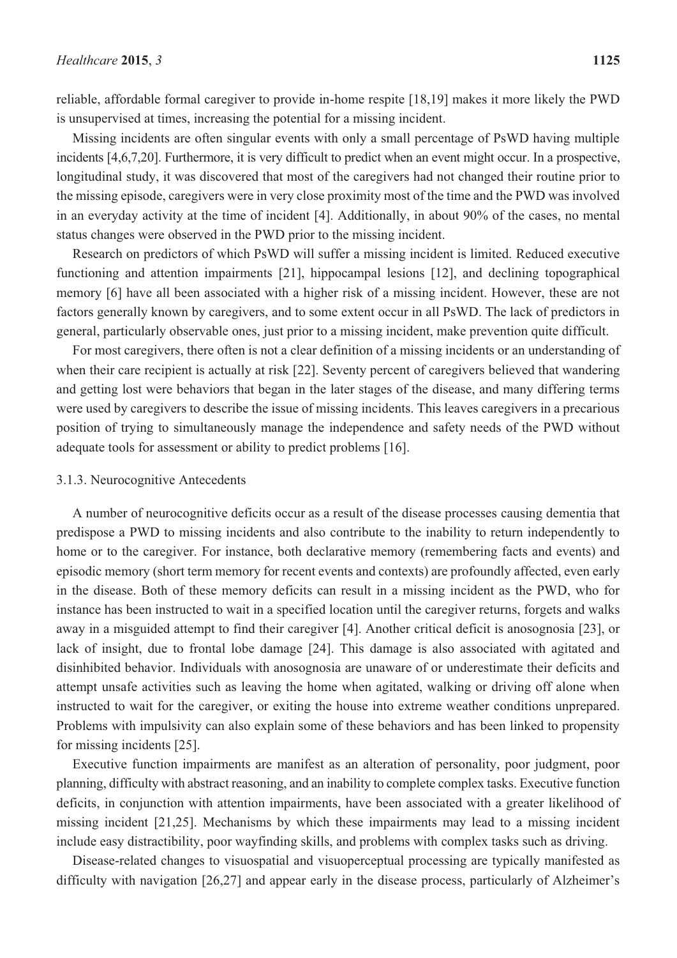reliable, affordable formal caregiver to provide in-home respite [18,19] makes it more likely the PWD is unsupervised at times, increasing the potential for a missing incident.

Missing incidents are often singular events with only a small percentage of PsWD having multiple incidents [4,6,7,20]. Furthermore, it is very difficult to predict when an event might occur. In a prospective, longitudinal study, it was discovered that most of the caregivers had not changed their routine prior to the missing episode, caregivers were in very close proximity most of the time and the PWD was involved in an everyday activity at the time of incident [4]. Additionally, in about 90% of the cases, no mental status changes were observed in the PWD prior to the missing incident.

Research on predictors of which PsWD will suffer a missing incident is limited. Reduced executive functioning and attention impairments [21], hippocampal lesions [12], and declining topographical memory [6] have all been associated with a higher risk of a missing incident. However, these are not factors generally known by caregivers, and to some extent occur in all PsWD. The lack of predictors in general, particularly observable ones, just prior to a missing incident, make prevention quite difficult.

For most caregivers, there often is not a clear definition of a missing incidents or an understanding of when their care recipient is actually at risk [22]. Seventy percent of caregivers believed that wandering and getting lost were behaviors that began in the later stages of the disease, and many differing terms were used by caregivers to describe the issue of missing incidents. This leaves caregivers in a precarious position of trying to simultaneously manage the independence and safety needs of the PWD without adequate tools for assessment or ability to predict problems [16].

#### 3.1.3. Neurocognitive Antecedents

A number of neurocognitive deficits occur as a result of the disease processes causing dementia that predispose a PWD to missing incidents and also contribute to the inability to return independently to home or to the caregiver. For instance, both declarative memory (remembering facts and events) and episodic memory (short term memory for recent events and contexts) are profoundly affected, even early in the disease. Both of these memory deficits can result in a missing incident as the PWD, who for instance has been instructed to wait in a specified location until the caregiver returns, forgets and walks away in a misguided attempt to find their caregiver [4]. Another critical deficit is anosognosia [23], or lack of insight, due to frontal lobe damage [24]. This damage is also associated with agitated and disinhibited behavior. Individuals with anosognosia are unaware of or underestimate their deficits and attempt unsafe activities such as leaving the home when agitated, walking or driving off alone when instructed to wait for the caregiver, or exiting the house into extreme weather conditions unprepared. Problems with impulsivity can also explain some of these behaviors and has been linked to propensity for missing incidents [25].

Executive function impairments are manifest as an alteration of personality, poor judgment, poor planning, difficulty with abstract reasoning, and an inability to complete complex tasks. Executive function deficits, in conjunction with attention impairments, have been associated with a greater likelihood of missing incident [21,25]. Mechanisms by which these impairments may lead to a missing incident include easy distractibility, poor wayfinding skills, and problems with complex tasks such as driving.

Disease-related changes to visuospatial and visuoperceptual processing are typically manifested as difficulty with navigation [26,27] and appear early in the disease process, particularly of Alzheimer's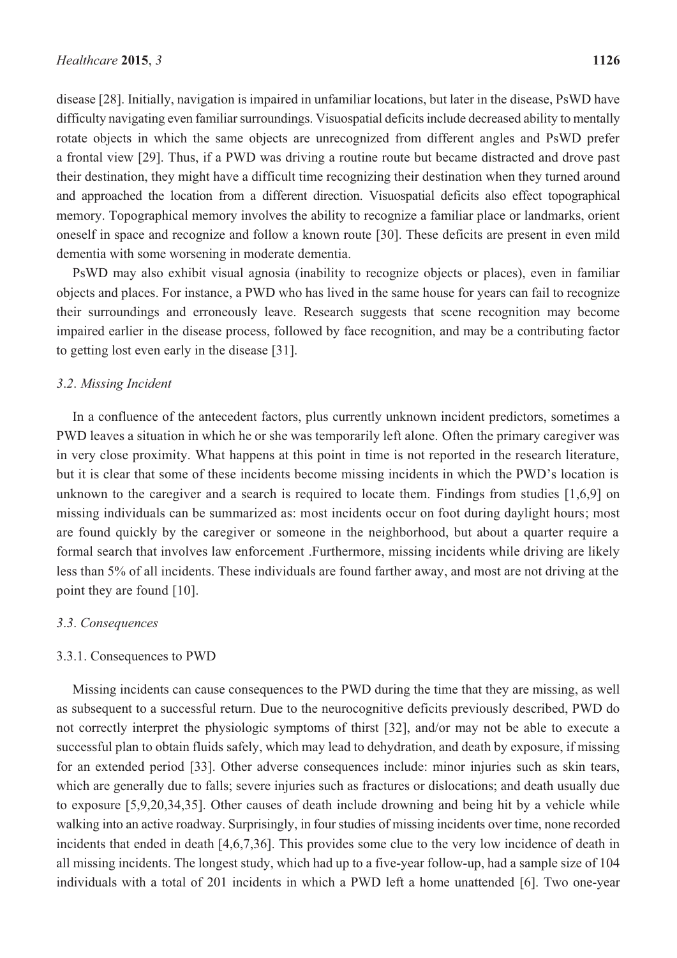disease [28]. Initially, navigation is impaired in unfamiliar locations, but later in the disease, PsWD have difficulty navigating even familiar surroundings. Visuospatial deficits include decreased ability to mentally rotate objects in which the same objects are unrecognized from different angles and PsWD prefer a frontal view [29]. Thus, if a PWD was driving a routine route but became distracted and drove past their destination, they might have a difficult time recognizing their destination when they turned around and approached the location from a different direction. Visuospatial deficits also effect topographical memory. Topographical memory involves the ability to recognize a familiar place or landmarks, orient oneself in space and recognize and follow a known route [30]. These deficits are present in even mild dementia with some worsening in moderate dementia.

PsWD may also exhibit visual agnosia (inability to recognize objects or places), even in familiar objects and places. For instance, a PWD who has lived in the same house for years can fail to recognize their surroundings and erroneously leave. Research suggests that scene recognition may become impaired earlier in the disease process, followed by face recognition, and may be a contributing factor to getting lost even early in the disease [31].

#### *3*.*2*. *Missing Incident*

In a confluence of the antecedent factors, plus currently unknown incident predictors, sometimes a PWD leaves a situation in which he or she was temporarily left alone. Often the primary caregiver was in very close proximity. What happens at this point in time is not reported in the research literature, but it is clear that some of these incidents become missing incidents in which the PWD's location is unknown to the caregiver and a search is required to locate them. Findings from studies [1,6,9] on missing individuals can be summarized as: most incidents occur on foot during daylight hours; most are found quickly by the caregiver or someone in the neighborhood, but about a quarter require a formal search that involves law enforcement .Furthermore, missing incidents while driving are likely less than 5% of all incidents. These individuals are found farther away, and most are not driving at the point they are found [10].

#### *3*.*3*. *Consequences*

#### 3.3.1. Consequences to PWD

Missing incidents can cause consequences to the PWD during the time that they are missing, as well as subsequent to a successful return. Due to the neurocognitive deficits previously described, PWD do not correctly interpret the physiologic symptoms of thirst [32], and/or may not be able to execute a successful plan to obtain fluids safely, which may lead to dehydration, and death by exposure, if missing for an extended period [33]. Other adverse consequences include: minor injuries such as skin tears, which are generally due to falls; severe injuries such as fractures or dislocations; and death usually due to exposure [5,9,20,34,35]. Other causes of death include drowning and being hit by a vehicle while walking into an active roadway. Surprisingly, in four studies of missing incidents over time, none recorded incidents that ended in death [4,6,7,36]. This provides some clue to the very low incidence of death in all missing incidents. The longest study, which had up to a five-year follow-up, had a sample size of 104 individuals with a total of 201 incidents in which a PWD left a home unattended [6]. Two one-year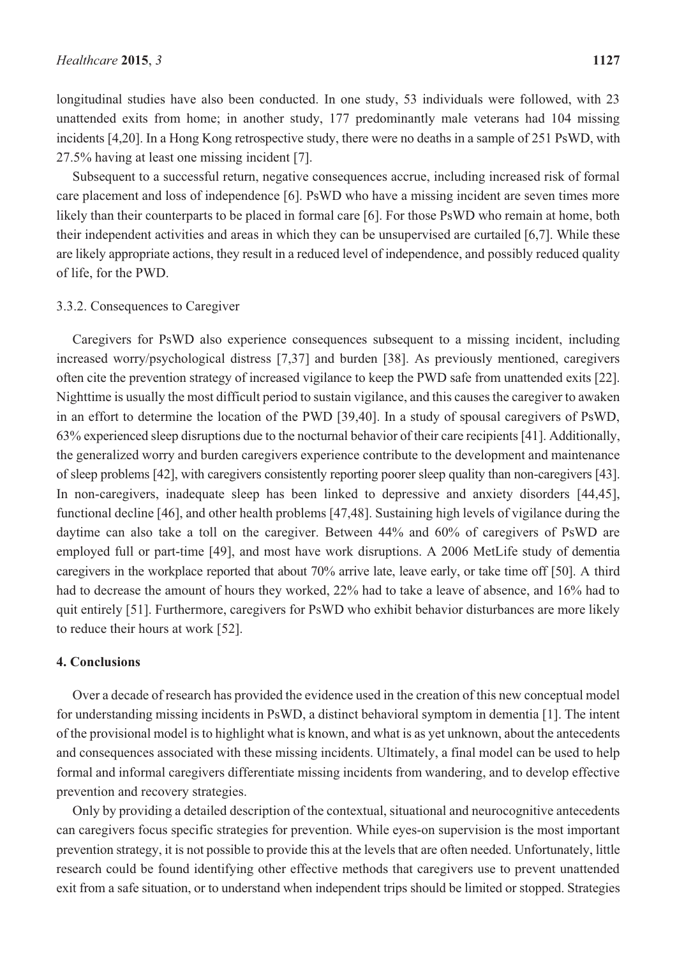longitudinal studies have also been conducted. In one study, 53 individuals were followed, with 23 unattended exits from home; in another study, 177 predominantly male veterans had 104 missing incidents [4,20]. In a Hong Kong retrospective study, there were no deaths in a sample of 251 PsWD, with 27.5% having at least one missing incident [7].

Subsequent to a successful return, negative consequences accrue, including increased risk of formal care placement and loss of independence [6]. PsWD who have a missing incident are seven times more likely than their counterparts to be placed in formal care [6]. For those PsWD who remain at home, both their independent activities and areas in which they can be unsupervised are curtailed [6,7]. While these are likely appropriate actions, they result in a reduced level of independence, and possibly reduced quality of life, for the PWD.

#### 3.3.2. Consequences to Caregiver

Caregivers for PsWD also experience consequences subsequent to a missing incident, including increased worry/psychological distress [7,37] and burden [38]. As previously mentioned, caregivers often cite the prevention strategy of increased vigilance to keep the PWD safe from unattended exits [22]. Nighttime is usually the most difficult period to sustain vigilance, and this causes the caregiver to awaken in an effort to determine the location of the PWD [39,40]. In a study of spousal caregivers of PsWD, 63% experienced sleep disruptions due to the nocturnal behavior of their care recipients [41]. Additionally, the generalized worry and burden caregivers experience contribute to the development and maintenance of sleep problems [42], with caregivers consistently reporting poorer sleep quality than non-caregivers [43]. In non-caregivers, inadequate sleep has been linked to depressive and anxiety disorders [44,45], functional decline [46], and other health problems [47,48]. Sustaining high levels of vigilance during the daytime can also take a toll on the caregiver. Between 44% and 60% of caregivers of PsWD are employed full or part-time [49], and most have work disruptions. A 2006 MetLife study of dementia caregivers in the workplace reported that about 70% arrive late, leave early, or take time off [50]. A third had to decrease the amount of hours they worked, 22% had to take a leave of absence, and 16% had to quit entirely [51]. Furthermore, caregivers for PsWD who exhibit behavior disturbances are more likely to reduce their hours at work [52].

#### **4. Conclusions**

Over a decade of research has provided the evidence used in the creation of this new conceptual model for understanding missing incidents in PsWD, a distinct behavioral symptom in dementia [1]. The intent of the provisional model is to highlight what is known, and what is as yet unknown, about the antecedents and consequences associated with these missing incidents. Ultimately, a final model can be used to help formal and informal caregivers differentiate missing incidents from wandering, and to develop effective prevention and recovery strategies.

Only by providing a detailed description of the contextual, situational and neurocognitive antecedents can caregivers focus specific strategies for prevention. While eyes-on supervision is the most important prevention strategy, it is not possible to provide this at the levels that are often needed. Unfortunately, little research could be found identifying other effective methods that caregivers use to prevent unattended exit from a safe situation, or to understand when independent trips should be limited or stopped. Strategies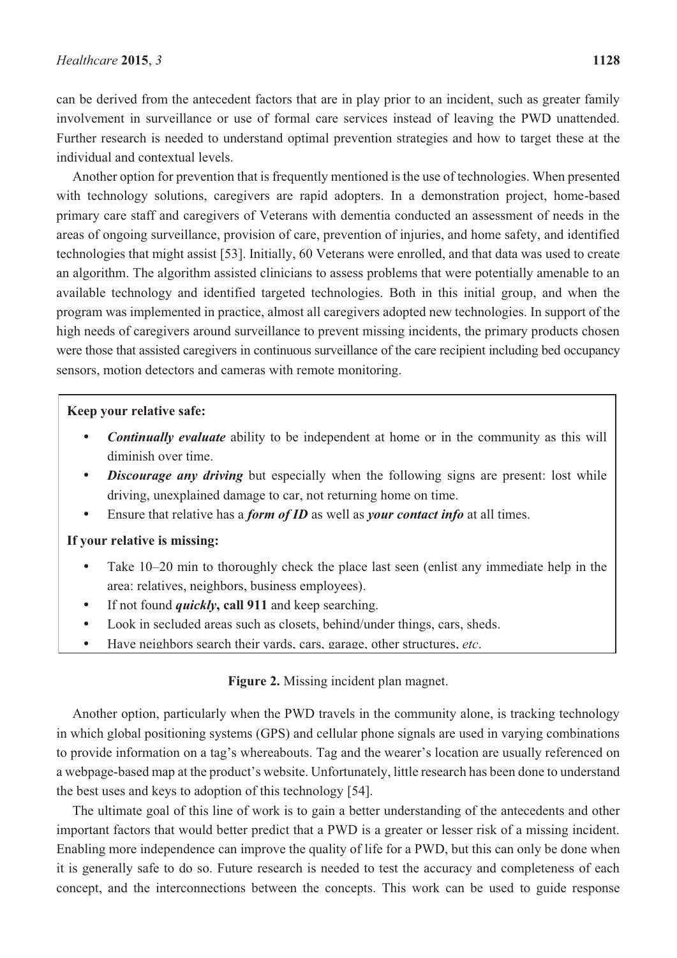can be derived from the antecedent factors that are in play prior to an incident, such as greater family involvement in surveillance or use of formal care services instead of leaving the PWD unattended. Further research is needed to understand optimal prevention strategies and how to target these at the individual and contextual levels.

Another option for prevention that is frequently mentioned is the use of technologies. When presented with technology solutions, caregivers are rapid adopters. In a demonstration project, home-based primary care staff and caregivers of Veterans with dementia conducted an assessment of needs in the areas of ongoing surveillance, provision of care, prevention of injuries, and home safety, and identified technologies that might assist [53]. Initially, 60 Veterans were enrolled, and that data was used to create an algorithm. The algorithm assisted clinicians to assess problems that were potentially amenable to an available technology and identified targeted technologies. Both in this initial group, and when the program was implemented in practice, almost all caregivers adopted new technologies. In support of the high needs of caregivers around surveillance to prevent missing incidents, the primary products chosen were those that assisted caregivers in continuous surveillance of the care recipient including bed occupancy sensors, motion detectors and cameras with remote monitoring.

#### **Keep your relative safe:**

- $\bullet$  *Continually evaluate* ability to be independent at home or in the community as this will diminish over time.
- $\bullet$ **Discourage** any driving but especially when the following signs are present: lost while driving, unexplained damage to car, not returning home on time.
- $\bullet$ Ensure that relative has a *form of ID* as well as *your contact info* at all times.

#### **If your relative is missing:**

- - Take 10–20 min to thoroughly check the place last seen (enlist any immediate help in the area: relatives, neighbors, business employees).
- $\bullet$ If not found *quickly***, call 911** and keep searching.
- $\bullet$ Look in secluded areas such as closets, behind/under things, cars, sheds.
- $\bullet$ Have neighbors search their yards, cars, garage, other structures, *etc*.

#### **Figure 2.** Missing incident plan magnet.

Another option, particularly when the PWD travels in the community alone, is tracking technology in which global positioning systems (GPS) and cellular phone signals are used in varying combinations to provide information on a tag's whereabouts. Tag and the wearer's location are usually referenced on a webpage-based map at the product's website. Unfortunately, little research has been done to understand the best uses and keys to adoption of this technology [54].

The ultimate goal of this line of work is to gain a better understanding of the antecedents and other important factors that would better predict that a PWD is a greater or lesser risk of a missing incident. Enabling more independence can improve the quality of life for a PWD, but this can only be done when it is generally safe to do so. Future research is needed to test the accuracy and completeness of each concept, and the interconnections between the concepts. This work can be used to guide response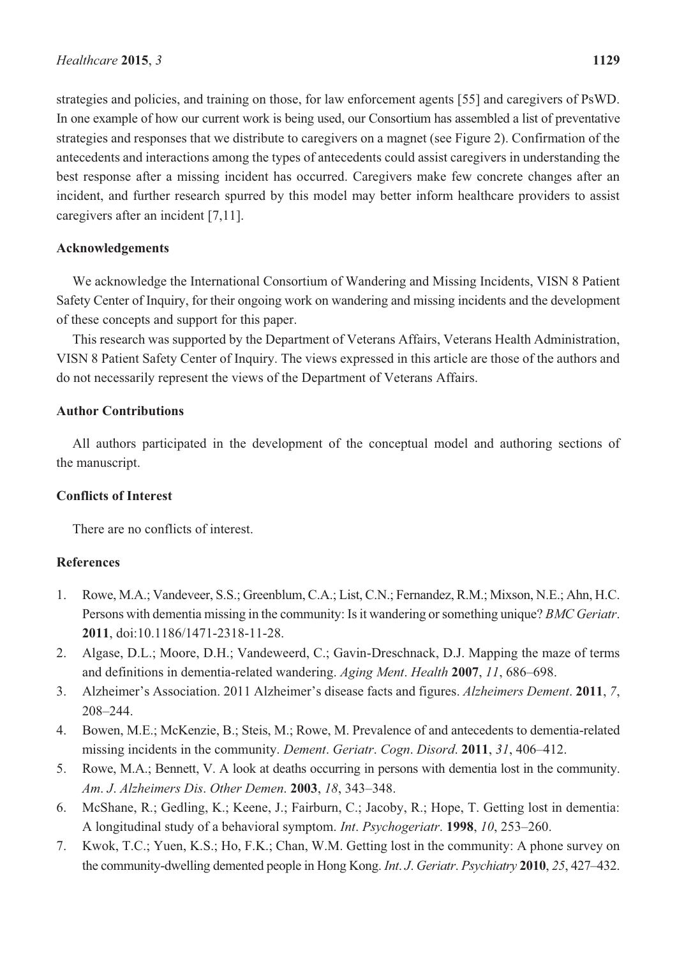strategies and policies, and training on those, for law enforcement agents [55] and caregivers of PsWD. In one example of how our current work is being used, our Consortium has assembled a list of preventative strategies and responses that we distribute to caregivers on a magnet (see Figure 2). Confirmation of the antecedents and interactions among the types of antecedents could assist caregivers in understanding the best response after a missing incident has occurred. Caregivers make few concrete changes after an incident, and further research spurred by this model may better inform healthcare providers to assist caregivers after an incident [7,11].

### **Acknowledgements**

We acknowledge the International Consortium of Wandering and Missing Incidents, VISN 8 Patient Safety Center of Inquiry, for their ongoing work on wandering and missing incidents and the development of these concepts and support for this paper.

This research was supported by the Department of Veterans Affairs, Veterans Health Administration, VISN 8 Patient Safety Center of Inquiry. The views expressed in this article are those of the authors and do not necessarily represent the views of the Department of Veterans Affairs.

## **Author Contributions**

All authors participated in the development of the conceptual model and authoring sections of the manuscript.

# **Conflicts of Interest**

There are no conflicts of interest.

# **References**

- 1. Rowe, M.A.; Vandeveer, S.S.; Greenblum, C.A.; List, C.N.; Fernandez, R.M.; Mixson, N.E.; Ahn, H.C. Persons with dementia missing in the community: Is it wandering or something unique? *BMC Geriatr*. **2011**, doi:10.1186/1471-2318-11-28.
- 2. Algase, D.L.; Moore, D.H.; Vandeweerd, C.; Gavin-Dreschnack, D.J. Mapping the maze of terms and definitions in dementia-related wandering. *Aging Ment*. *Health* **2007**, *11*, 686–698.
- 3. Alzheimer's Association. 2011 Alzheimer's disease facts and figures. *Alzheimers Dement*. **2011**, *7*, 208–244.
- 4. Bowen, M.E.; McKenzie, B.; Steis, M.; Rowe, M. Prevalence of and antecedents to dementia-related missing incidents in the community. *Dement*. *Geriatr*. *Cogn*. *Disord*. **2011**, *31*, 406–412.
- 5. Rowe, M.A.; Bennett, V. A look at deaths occurring in persons with dementia lost in the community. *Am*. *J*. *Alzheimers Dis*. *Other Demen*. **2003**, *18*, 343–348.
- 6. McShane, R.; Gedling, K.; Keene, J.; Fairburn, C.; Jacoby, R.; Hope, T. Getting lost in dementia: A longitudinal study of a behavioral symptom. *Int*. *Psychogeriatr*. **1998**, *10*, 253–260.
- 7. Kwok, T.C.; Yuen, K.S.; Ho, F.K.; Chan, W.M. Getting lost in the community: A phone survey on the community-dwelling demented people in Hong Kong. *Int*. *J*. *Geriatr*. *Psychiatry* **2010**, *25*, 427–432.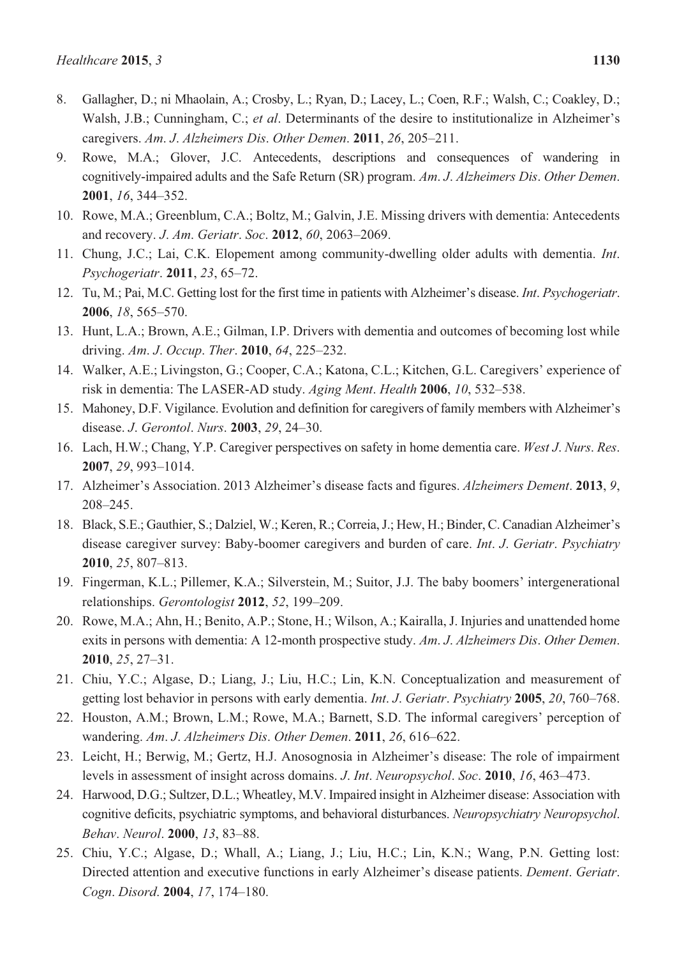- 8. Gallagher, D.; ni Mhaolain, A.; Crosby, L.; Ryan, D.; Lacey, L.; Coen, R.F.; Walsh, C.; Coakley, D.; Walsh, J.B.; Cunningham, C.; *et al*. Determinants of the desire to institutionalize in Alzheimer's caregivers. *Am*. *J*. *Alzheimers Dis*. *Other Demen*. **2011**, *26*, 205–211.
- 9. Rowe, M.A.; Glover, J.C. Antecedents, descriptions and consequences of wandering in cognitively-impaired adults and the Safe Return (SR) program. *Am*. *J*. *Alzheimers Dis*. *Other Demen*. **2001**, *16*, 344–352.
- 10. Rowe, M.A.; Greenblum, C.A.; Boltz, M.; Galvin, J.E. Missing drivers with dementia: Antecedents and recovery. *J*. *Am*. *Geriatr*. *Soc*. **2012**, *60*, 2063–2069.
- 11. Chung, J.C.; Lai, C.K. Elopement among community-dwelling older adults with dementia. *Int*. *Psychogeriatr*. **2011**, *23*, 65–72.
- 12. Tu, M.; Pai, M.C. Getting lost for the first time in patients with Alzheimer's disease. *Int*. *Psychogeriatr*. **2006**, *18*, 565–570.
- 13. Hunt, L.A.; Brown, A.E.; Gilman, I.P. Drivers with dementia and outcomes of becoming lost while driving. *Am*. *J*. *Occup*. *Ther*. **2010**, *64*, 225–232.
- 14. Walker, A.E.; Livingston, G.; Cooper, C.A.; Katona, C.L.; Kitchen, G.L. Caregivers' experience of risk in dementia: The LASER-AD study. *Aging Ment*. *Health* **2006**, *10*, 532–538.
- 15. Mahoney, D.F. Vigilance. Evolution and definition for caregivers of family members with Alzheimer's disease. *J*. *Gerontol*. *Nurs*. **2003**, *29*, 24–30.
- 16. Lach, H.W.; Chang, Y.P. Caregiver perspectives on safety in home dementia care. *West J*. *Nurs*. *Res*. **2007**, *29*, 993–1014.
- 17. Alzheimer's Association. 2013 Alzheimer's disease facts and figures. *Alzheimers Dement*. **2013**, *9*, 208–245.
- 18. Black, S.E.; Gauthier, S.; Dalziel, W.; Keren, R.; Correia, J.; Hew, H.; Binder, C. Canadian Alzheimer's disease caregiver survey: Baby-boomer caregivers and burden of care. *Int*. *J*. *Geriatr*. *Psychiatry* **2010**, *25*, 807–813.
- 19. Fingerman, K.L.; Pillemer, K.A.; Silverstein, M.; Suitor, J.J. The baby boomers' intergenerational relationships. *Gerontologist* **2012**, *52*, 199–209.
- 20. Rowe, M.A.; Ahn, H.; Benito, A.P.; Stone, H.; Wilson, A.; Kairalla, J. Injuries and unattended home exits in persons with dementia: A 12-month prospective study. *Am*. *J*. *Alzheimers Dis*. *Other Demen*. **2010**, *25*, 27–31.
- 21. Chiu, Y.C.; Algase, D.; Liang, J.; Liu, H.C.; Lin, K.N. Conceptualization and measurement of getting lost behavior in persons with early dementia. *Int*. *J*. *Geriatr*. *Psychiatry* **2005**, *20*, 760–768.
- 22. Houston, A.M.; Brown, L.M.; Rowe, M.A.; Barnett, S.D. The informal caregivers' perception of wandering. *Am*. *J*. *Alzheimers Dis*. *Other Demen*. **2011**, *26*, 616–622.
- 23. Leicht, H.; Berwig, M.; Gertz, H.J. Anosognosia in Alzheimer's disease: The role of impairment levels in assessment of insight across domains. *J*. *Int*. *Neuropsychol*. *Soc*. **2010**, *16*, 463–473.
- 24. Harwood, D.G.; Sultzer, D.L.; Wheatley, M.V. Impaired insight in Alzheimer disease: Association with cognitive deficits, psychiatric symptoms, and behavioral disturbances. *Neuropsychiatry Neuropsychol*. *Behav*. *Neurol*. **2000**, *13*, 83–88.
- 25. Chiu, Y.C.; Algase, D.; Whall, A.; Liang, J.; Liu, H.C.; Lin, K.N.; Wang, P.N. Getting lost: Directed attention and executive functions in early Alzheimer's disease patients. *Dement*. *Geriatr*. *Cogn*. *Disord*. **2004**, *17*, 174–180.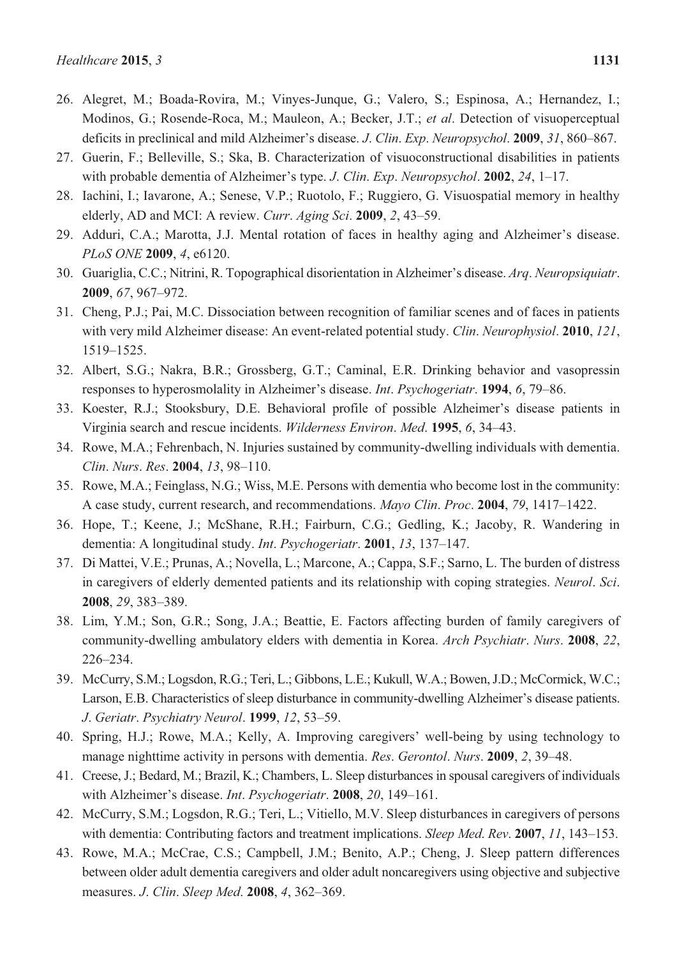- 26. Alegret, M.; Boada-Rovira, M.; Vinyes-Junque, G.; Valero, S.; Espinosa, A.; Hernandez, I.; Modinos, G.; Rosende-Roca, M.; Mauleon, A.; Becker, J.T.; *et al*. Detection of visuoperceptual deficits in preclinical and mild Alzheimer's disease. *J*. *Clin*. *Exp*. *Neuropsychol*. **2009**, *31*, 860–867.
- 27. Guerin, F.; Belleville, S.; Ska, B. Characterization of visuoconstructional disabilities in patients with probable dementia of Alzheimer's type. *J*. *Clin*. *Exp*. *Neuropsychol*. **2002**, *24*, 1–17.
- 28. Iachini, I.; Iavarone, A.; Senese, V.P.; Ruotolo, F.; Ruggiero, G. Visuospatial memory in healthy elderly, AD and MCI: A review. *Curr*. *Aging Sci*. **2009**, *2*, 43–59.
- 29. Adduri, C.A.; Marotta, J.J. Mental rotation of faces in healthy aging and Alzheimer's disease. *PLoS ONE* **2009**, *4*, e6120.
- 30. Guariglia, C.C.; Nitrini, R. Topographical disorientation in Alzheimer's disease. *Arq*. *Neuropsiquiatr*. **2009**, *67*, 967–972.
- 31. Cheng, P.J.; Pai, M.C. Dissociation between recognition of familiar scenes and of faces in patients with very mild Alzheimer disease: An event-related potential study. *Clin*. *Neurophysiol*. **2010**, *121*, 1519–1525.
- 32. Albert, S.G.; Nakra, B.R.; Grossberg, G.T.; Caminal, E.R. Drinking behavior and vasopressin responses to hyperosmolality in Alzheimer's disease. *Int*. *Psychogeriatr*. **1994**, *6*, 79–86.
- 33. Koester, R.J.; Stooksbury, D.E. Behavioral profile of possible Alzheimer's disease patients in Virginia search and rescue incidents. *Wilderness Environ*. *Med*. **1995**, *6*, 34–43.
- 34. Rowe, M.A.; Fehrenbach, N. Injuries sustained by community-dwelling individuals with dementia. *Clin*. *Nurs*. *Res*. **2004**, *13*, 98–110.
- 35. Rowe, M.A.; Feinglass, N.G.; Wiss, M.E. Persons with dementia who become lost in the community: A case study, current research, and recommendations. *Mayo Clin*. *Proc*. **2004**, *79*, 1417–1422.
- 36. Hope, T.; Keene, J.; McShane, R.H.; Fairburn, C.G.; Gedling, K.; Jacoby, R. Wandering in dementia: A longitudinal study. *Int*. *Psychogeriatr*. **2001**, *13*, 137–147.
- 37. Di Mattei, V.E.; Prunas, A.; Novella, L.; Marcone, A.; Cappa, S.F.; Sarno, L. The burden of distress in caregivers of elderly demented patients and its relationship with coping strategies. *Neurol*. *Sci*. **2008**, *29*, 383–389.
- 38. Lim, Y.M.; Son, G.R.; Song, J.A.; Beattie, E. Factors affecting burden of family caregivers of community-dwelling ambulatory elders with dementia in Korea. *Arch Psychiatr*. *Nurs*. **2008**, *22*, 226–234.
- 39. McCurry, S.M.; Logsdon, R.G.; Teri, L.; Gibbons, L.E.; Kukull, W.A.; Bowen, J.D.; McCormick, W.C.; Larson, E.B. Characteristics of sleep disturbance in community-dwelling Alzheimer's disease patients. *J*. *Geriatr*. *Psychiatry Neurol*. **1999**, *12*, 53–59.
- 40. Spring, H.J.; Rowe, M.A.; Kelly, A. Improving caregivers' well-being by using technology to manage nighttime activity in persons with dementia. *Res*. *Gerontol*. *Nurs*. **2009**, *2*, 39–48.
- 41. Creese, J.; Bedard, M.; Brazil, K.; Chambers, L. Sleep disturbances in spousal caregivers of individuals with Alzheimer's disease. *Int*. *Psychogeriatr*. **2008**, *20*, 149–161.
- 42. McCurry, S.M.; Logsdon, R.G.; Teri, L.; Vitiello, M.V. Sleep disturbances in caregivers of persons with dementia: Contributing factors and treatment implications. *Sleep Med*. *Rev*. **2007**, *11*, 143–153.
- 43. Rowe, M.A.; McCrae, C.S.; Campbell, J.M.; Benito, A.P.; Cheng, J. Sleep pattern differences between older adult dementia caregivers and older adult noncaregivers using objective and subjective measures. *J*. *Clin*. *Sleep Med*. **2008**, *4*, 362–369.